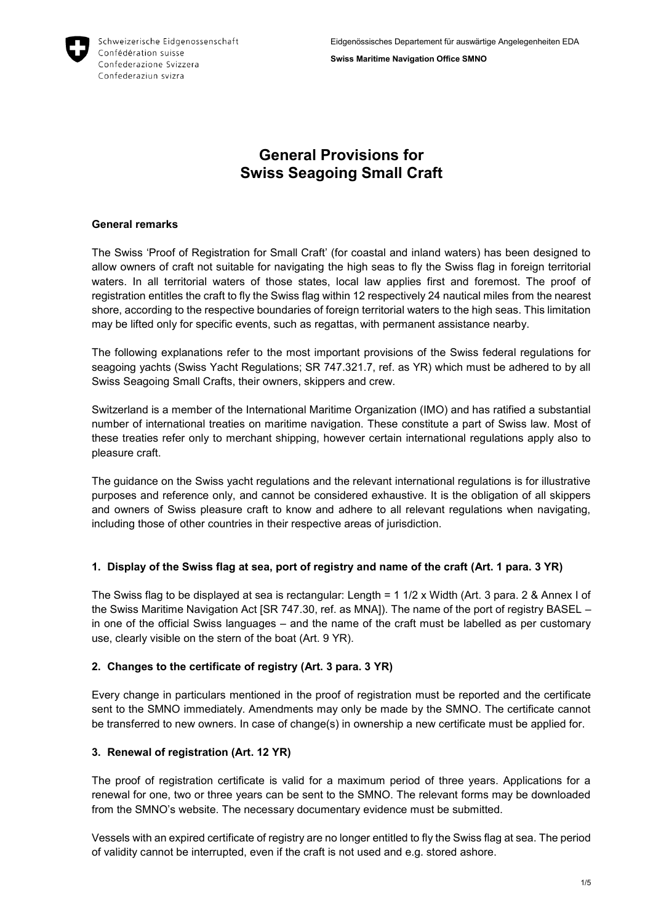

**Swiss Maritime Navigation Office SMNO**

# **General Provisions for Swiss Seagoing Small Craft**

#### **General remarks**

The Swiss 'Proof of Registration for Small Craft' (for coastal and inland waters) has been designed to allow owners of craft not suitable for navigating the high seas to fly the Swiss flag in foreign territorial waters. In all territorial waters of those states, local law applies first and foremost. The proof of registration entitles the craft to fly the Swiss flag within 12 respectively 24 nautical miles from the nearest shore, according to the respective boundaries of foreign territorial waters to the high seas. This limitation may be lifted only for specific events, such as regattas, with permanent assistance nearby.

The following explanations refer to the most important provisions of the Swiss federal regulations for seagoing yachts (Swiss Yacht Regulations; SR 747.321.7, ref. as YR) which must be adhered to by all Swiss Seagoing Small Crafts, their owners, skippers and crew.

Switzerland is a member of the International Maritime Organization (IMO) and has ratified a substantial number of international treaties on maritime navigation. These constitute a part of Swiss law. Most of these treaties refer only to merchant shipping, however certain international regulations apply also to pleasure craft.

The guidance on the Swiss yacht regulations and the relevant international regulations is for illustrative purposes and reference only, and cannot be considered exhaustive. It is the obligation of all skippers and owners of Swiss pleasure craft to know and adhere to all relevant regulations when navigating, including those of other countries in their respective areas of jurisdiction.

# **1. Display of the Swiss flag at sea, port of registry and name of the craft (Art. 1 para. 3 YR)**

The Swiss flag to be displayed at sea is rectangular: Length = 1 1/2 x Width (Art. 3 para. 2 & Annex I of the Swiss Maritime Navigation Act [SR 747.30, ref. as MNA]). The name of the port of registry BASEL – in one of the official Swiss languages – and the name of the craft must be labelled as per customary use, clearly visible on the stern of the boat (Art. 9 YR).

# **2. Changes to the certificate of registry (Art. 3 para. 3 YR)**

Every change in particulars mentioned in the proof of registration must be reported and the certificate sent to the SMNO immediately. Amendments may only be made by the SMNO. The certificate cannot be transferred to new owners. In case of change(s) in ownership a new certificate must be applied for.

# **3. Renewal of registration (Art. 12 YR)**

The proof of registration certificate is valid for a maximum period of three years. Applications for a renewal for one, two or three years can be sent to the SMNO. The relevant forms may be downloaded from the SMNO's website. The necessary documentary evidence must be submitted.

Vessels with an expired certificate of registry are no longer entitled to fly the Swiss flag at sea. The period of validity cannot be interrupted, even if the craft is not used and e.g. stored ashore.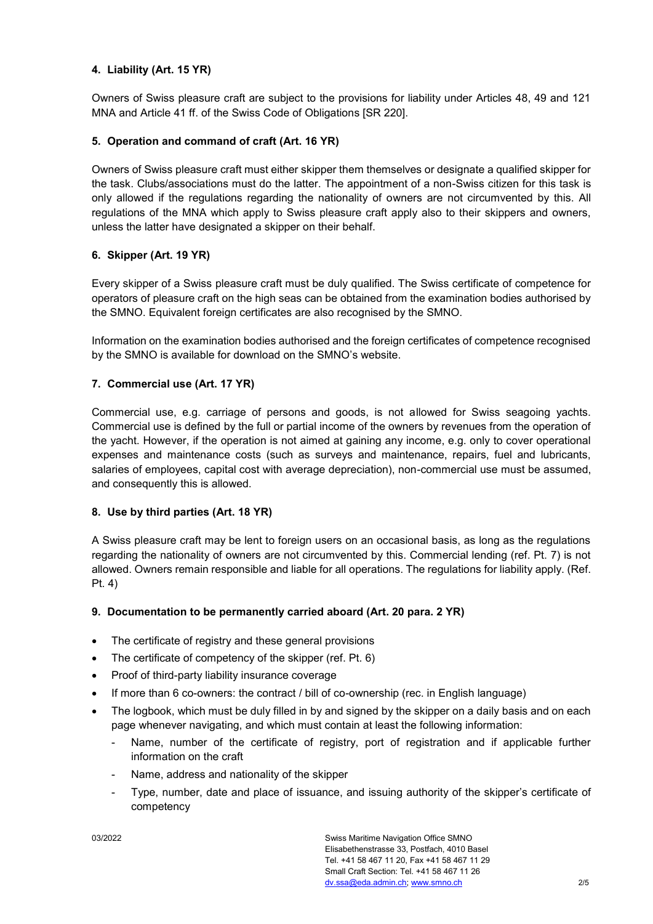## **4. Liability (Art. 15 YR)**

Owners of Swiss pleasure craft are subject to the provisions for liability under Articles 48, 49 and 121 MNA and Article 41 ff. of the Swiss Code of Obligations [SR 220].

#### **5. Operation and command of craft (Art. 16 YR)**

Owners of Swiss pleasure craft must either skipper them themselves or designate a qualified skipper for the task. Clubs/associations must do the latter. The appointment of a non-Swiss citizen for this task is only allowed if the regulations regarding the nationality of owners are not circumvented by this. All regulations of the MNA which apply to Swiss pleasure craft apply also to their skippers and owners, unless the latter have designated a skipper on their behalf.

## **6. Skipper (Art. 19 YR)**

Every skipper of a Swiss pleasure craft must be duly qualified. The Swiss certificate of competence for operators of pleasure craft on the high seas can be obtained from the examination bodies authorised by the SMNO. Equivalent foreign certificates are also recognised by the SMNO.

Information on the examination bodies authorised and the foreign certificates of competence recognised by the SMNO is available for download on the SMNO's website.

## **7. Commercial use (Art. 17 YR)**

Commercial use, e.g. carriage of persons and goods, is not allowed for Swiss seagoing yachts. Commercial use is defined by the full or partial income of the owners by revenues from the operation of the yacht. However, if the operation is not aimed at gaining any income, e.g. only to cover operational expenses and maintenance costs (such as surveys and maintenance, repairs, fuel and lubricants, salaries of employees, capital cost with average depreciation), non-commercial use must be assumed, and consequently this is allowed.

#### **8. Use by third parties (Art. 18 YR)**

A Swiss pleasure craft may be lent to foreign users on an occasional basis, as long as the regulations regarding the nationality of owners are not circumvented by this. Commercial lending (ref. Pt. 7) is not allowed. Owners remain responsible and liable for all operations. The regulations for liability apply. (Ref. Pt. 4)

#### **9. Documentation to be permanently carried aboard (Art. 20 para. 2 YR)**

- The certificate of registry and these general provisions
- The certificate of competency of the skipper (ref. Pt. 6)
- Proof of third-party liability insurance coverage
- If more than 6 co-owners: the contract / bill of co-ownership (rec. in English language)
- The logbook, which must be duly filled in by and signed by the skipper on a daily basis and on each page whenever navigating, and which must contain at least the following information:
	- Name, number of the certificate of registry, port of registration and if applicable further information on the craft
	- Name, address and nationality of the skipper
	- Type, number, date and place of issuance, and issuing authority of the skipper's certificate of competency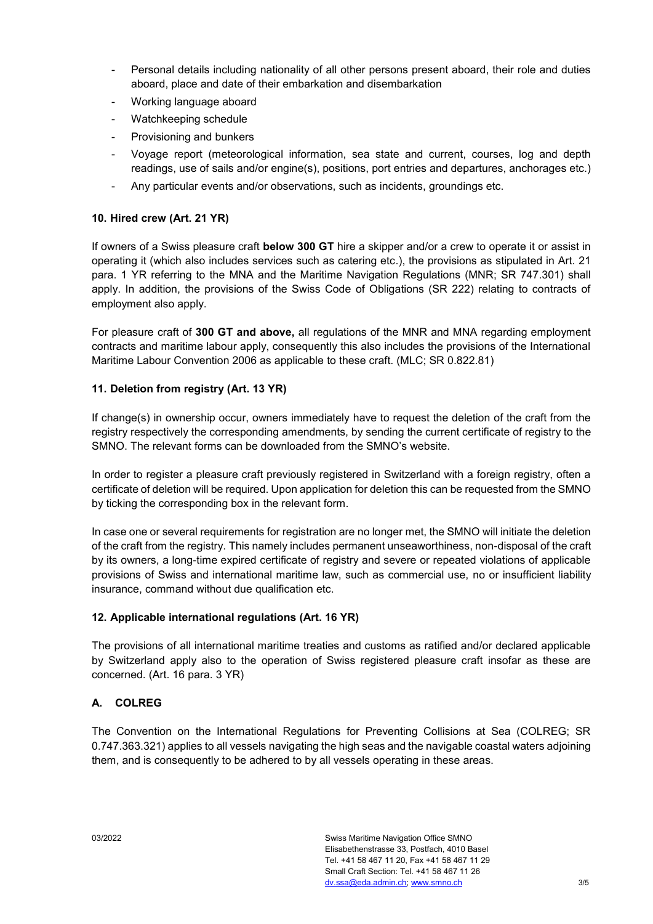- Personal details including nationality of all other persons present aboard, their role and duties aboard, place and date of their embarkation and disembarkation
- Working language aboard
- Watchkeeping schedule
- Provisioning and bunkers
- Voyage report (meteorological information, sea state and current, courses, log and depth readings, use of sails and/or engine(s), positions, port entries and departures, anchorages etc.)
- Any particular events and/or observations, such as incidents, groundings etc.

#### **10. Hired crew (Art. 21 YR)**

If owners of a Swiss pleasure craft **below 300 GT** hire a skipper and/or a crew to operate it or assist in operating it (which also includes services such as catering etc.), the provisions as stipulated in Art. 21 para. 1 YR referring to the MNA and the Maritime Navigation Regulations (MNR; SR 747.301) shall apply. In addition, the provisions of the Swiss Code of Obligations (SR 222) relating to contracts of employment also apply.

For pleasure craft of **300 GT and above,** all regulations of the MNR and MNA regarding employment contracts and maritime labour apply, consequently this also includes the provisions of the International Maritime Labour Convention 2006 as applicable to these craft. (MLC; SR 0.822.81)

## **11. Deletion from registry (Art. 13 YR)**

If change(s) in ownership occur, owners immediately have to request the deletion of the craft from the registry respectively the corresponding amendments, by sending the current certificate of registry to the SMNO. The relevant forms can be downloaded from the SMNO's website.

In order to register a pleasure craft previously registered in Switzerland with a foreign registry, often a certificate of deletion will be required. Upon application for deletion this can be requested from the SMNO by ticking the corresponding box in the relevant form.

In case one or several requirements for registration are no longer met, the SMNO will initiate the deletion of the craft from the registry. This namely includes permanent unseaworthiness, non-disposal of the craft by its owners, a long-time expired certificate of registry and severe or repeated violations of applicable provisions of Swiss and international maritime law, such as commercial use, no or insufficient liability insurance, command without due qualification etc.

#### **12. Applicable international regulations (Art. 16 YR)**

The provisions of all international maritime treaties and customs as ratified and/or declared applicable by Switzerland apply also to the operation of Swiss registered pleasure craft insofar as these are concerned. (Art. 16 para. 3 YR)

# **A. COLREG**

The Convention on the International Regulations for Preventing Collisions at Sea (COLREG; SR 0.747.363.321) applies to all vessels navigating the high seas and the navigable coastal waters adjoining them, and is consequently to be adhered to by all vessels operating in these areas.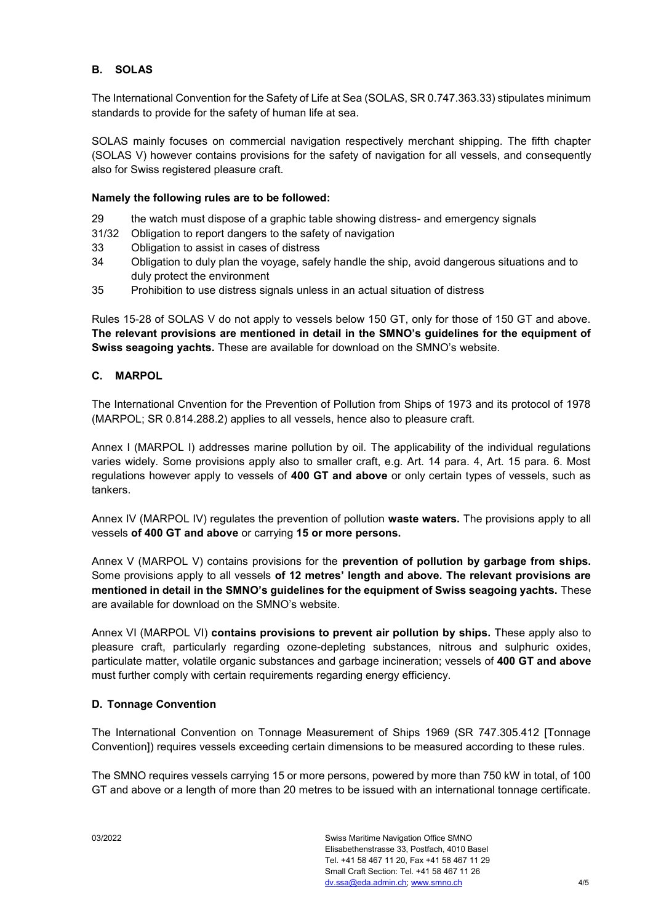# **B. SOLAS**

The International Convention for the Safety of Life at Sea (SOLAS, SR 0.747.363.33) stipulates minimum standards to provide for the safety of human life at sea.

SOLAS mainly focuses on commercial navigation respectively merchant shipping. The fifth chapter (SOLAS V) however contains provisions for the safety of navigation for all vessels, and consequently also for Swiss registered pleasure craft.

#### **Namely the following rules are to be followed:**

- 29 the watch must dispose of a graphic table showing distress- and emergency signals
- 31/32 Obligation to report dangers to the safety of navigation
- 33 Obligation to assist in cases of distress
- 34 Obligation to duly plan the voyage, safely handle the ship, avoid dangerous situations and to duly protect the environment
- 35 Prohibition to use distress signals unless in an actual situation of distress

Rules 15-28 of SOLAS V do not apply to vessels below 150 GT, only for those of 150 GT and above. **The relevant provisions are mentioned in detail in the SMNO's guidelines for the equipment of Swiss seagoing yachts.** These are available for download on the SMNO's website.

#### **C. MARPOL**

The International Cnvention for the Prevention of Pollution from Ships of 1973 and its protocol of 1978 (MARPOL; SR 0.814.288.2) applies to all vessels, hence also to pleasure craft.

Annex I (MARPOL I) addresses marine pollution by oil. The applicability of the individual regulations varies widely. Some provisions apply also to smaller craft, e.g. Art. 14 para. 4, Art. 15 para. 6. Most regulations however apply to vessels of **400 GT and above** or only certain types of vessels, such as tankers.

Annex IV (MARPOL IV) regulates the prevention of pollution **waste waters.** The provisions apply to all vessels **of 400 GT and above** or carrying **15 or more persons.**

Annex V (MARPOL V) contains provisions for the **prevention of pollution by garbage from ships.** Some provisions apply to all vessels **of 12 metres' length and above. The relevant provisions are mentioned in detail in the SMNO's guidelines for the equipment of Swiss seagoing yachts.** These are available for download on the SMNO's website.

Annex VI (MARPOL VI) **contains provisions to prevent air pollution by ships.** These apply also to pleasure craft, particularly regarding ozone-depleting substances, nitrous and sulphuric oxides, particulate matter, volatile organic substances and garbage incineration; vessels of **400 GT and above** must further comply with certain requirements regarding energy efficiency.

#### **D. Tonnage Convention**

The International Convention on Tonnage Measurement of Ships 1969 (SR 747.305.412 [Tonnage Convention]) requires vessels exceeding certain dimensions to be measured according to these rules.

The SMNO requires vessels carrying 15 or more persons, powered by more than 750 kW in total, of 100 GT and above or a length of more than 20 metres to be issued with an international tonnage certificate.